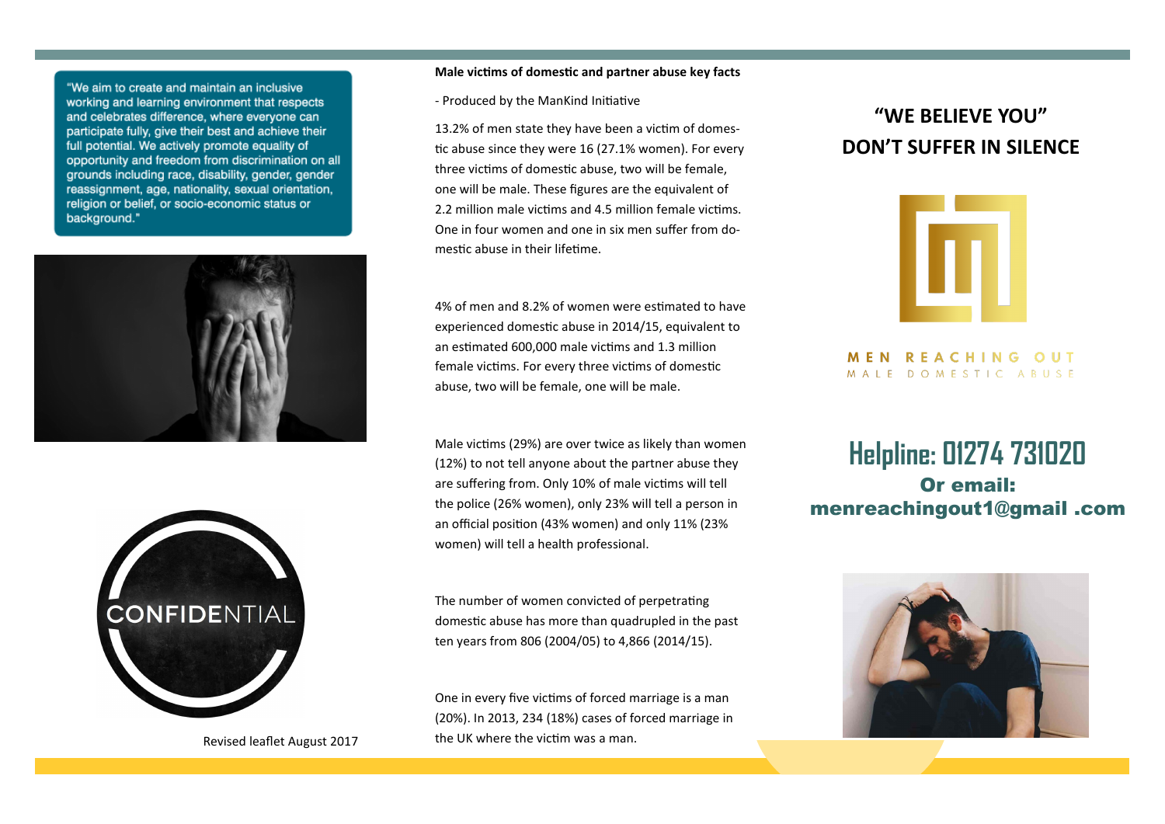"We aim to create and maintain an inclusive working and learning environment that respects and celebrates difference, where everyone can participate fully, give their best and achieve their full potential. We actively promote equality of opportunity and freedom from discrimination on all grounds including race, disability, gender, gender reassignment, age, nationality, sexual orientation, religion or belief, or socio-economic status or background."



#### **Male victims of domestic and partner abuse key facts**

- Produced by the ManKind Initiative

13.2% of men state they have been a victim of domestic abuse since they were 16 (27.1% women). For every three victims of domestic abuse, two will be female, one will be male. These figures are the equivalent of 2.2 million male victims and 4.5 million female victims. One in four women and one in six men suffer from domestic abuse in their lifetime.

4% of men and 8.2% of women were estimated to have experienced domestic abuse in 2014/15, equivalent to an estimated 600,000 male victims and 1.3 million female victims. For every three victims of domestic abuse, two will be female, one will be male.

Male victims (29%) are over twice as likely than women (12%) to not tell anyone about the partner abuse they are suffering from. Only 10% of male victims will tell the police (26% women), only 23% will tell a person in an official position (43% women) and only 11% (23% women) will tell a health professional.

The number of women convicted of perpetrating domestic abuse has more than quadrupled in the past ten years from 806 (2004/05) to 4,866 (2014/15).

One in every five victims of forced marriage is a man (20%). In 2013, 234 (18%) cases of forced marriage in the UK where the victim was a man.

# **"WE BELIEVE YOU" DON'T SUFFER IN SILENCE**



**Helpline: 01274 731020** Or email: menreachingout1@gmail .com





Revised leaflet August 2017